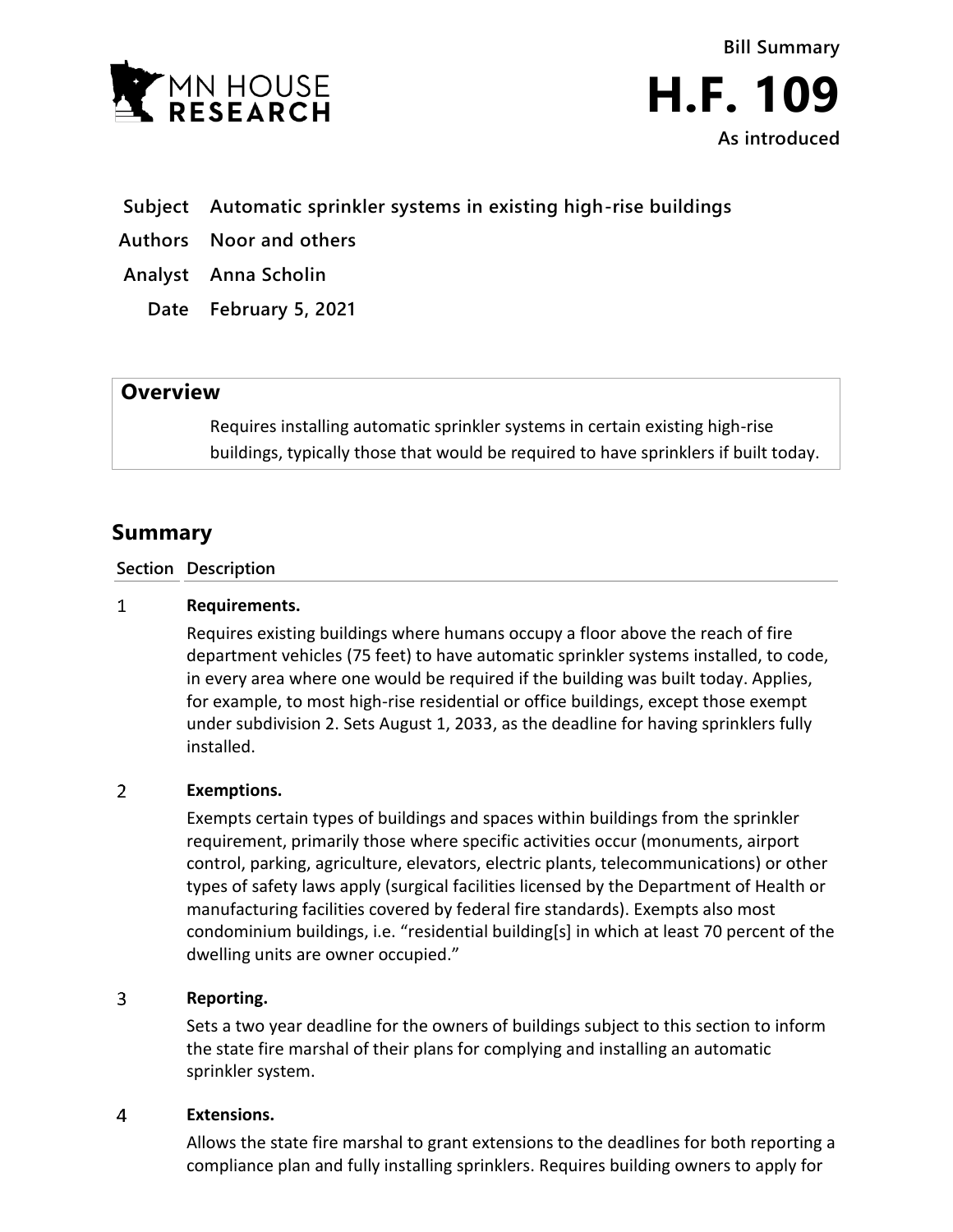

# **Subject Automatic sprinkler systems in existing high-rise buildings**

- **Authors Noor and others**
- **Analyst Anna Scholin**
	- **Date February 5, 2021**

## **Overview**

Requires installing automatic sprinkler systems in certain existing high-rise buildings, typically those that would be required to have sprinklers if built today.

# **Summary**

### **Section Description**

#### $\mathbf{1}$ **Requirements.**

Requires existing buildings where humans occupy a floor above the reach of fire department vehicles (75 feet) to have automatic sprinkler systems installed, to code, in every area where one would be required if the building was built today. Applies, for example, to most high-rise residential or office buildings, except those exempt under subdivision 2. Sets August 1, 2033, as the deadline for having sprinklers fully installed.

#### $\overline{2}$ **Exemptions.**

Exempts certain types of buildings and spaces within buildings from the sprinkler requirement, primarily those where specific activities occur (monuments, airport control, parking, agriculture, elevators, electric plants, telecommunications) or other types of safety laws apply (surgical facilities licensed by the Department of Health or manufacturing facilities covered by federal fire standards). Exempts also most condominium buildings, i.e. "residential building[s] in which at least 70 percent of the dwelling units are owner occupied."

#### $\overline{3}$ **Reporting.**

Sets a two year deadline for the owners of buildings subject to this section to inform the state fire marshal of their plans for complying and installing an automatic sprinkler system.

#### $\overline{4}$ **Extensions.**

Allows the state fire marshal to grant extensions to the deadlines for both reporting a compliance plan and fully installing sprinklers. Requires building owners to apply for